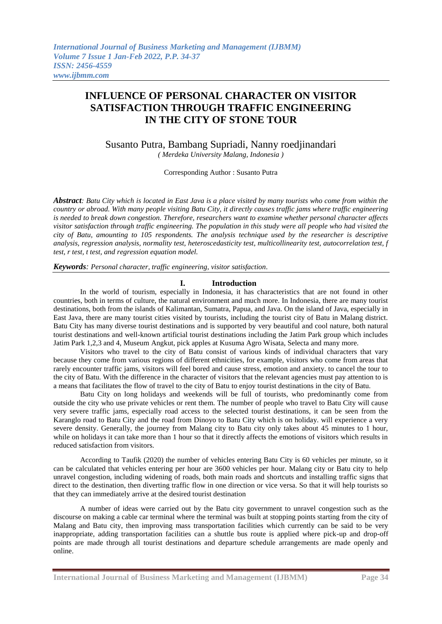# **INFLUENCE OF PERSONAL CHARACTER ON VISITOR SATISFACTION THROUGH TRAFFIC ENGINEERING IN THE CITY OF STONE TOUR**

Susanto Putra, Bambang Supriadi, Nanny roedjinandari *( Merdeka University Malang, Indonesia )*

Corresponding Author : Susanto Putra

*Abstract: Batu City which is located in East Java is a place visited by many tourists who come from within the country or abroad. With many people visiting Batu City, it directly causes traffic jams where traffic engineering is needed to break down congestion. Therefore, researchers want to examine whether personal character affects visitor satisfaction through traffic engineering. The population in this study were all people who had visited the city of Batu, amounting to 105 respondents. The analysis technique used by the researcher is descriptive analysis, regression analysis, normality test, heteroscedasticity test, multicollinearity test, autocorrelation test, f test, r test, t test, and regression equation model.*

*Keywords: Personal character, traffic engineering, visitor satisfaction.*

#### **I. Introduction**

In the world of tourism, especially in Indonesia, it has characteristics that are not found in other countries, both in terms of culture, the natural environment and much more. In Indonesia, there are many tourist destinations, both from the islands of Kalimantan, Sumatra, Papua, and Java. On the island of Java, especially in East Java, there are many tourist cities visited by tourists, including the tourist city of Batu in Malang district. Batu City has many diverse tourist destinations and is supported by very beautiful and cool nature, both natural tourist destinations and well-known artificial tourist destinations including the Jatim Park group which includes Jatim Park 1,2,3 and 4, Museum Angkut, pick apples at Kusuma Agro Wisata, Selecta and many more.

Visitors who travel to the city of Batu consist of various kinds of individual characters that vary because they come from various regions of different ethnicities, for example, visitors who come from areas that rarely encounter traffic jams, visitors will feel bored and cause stress, emotion and anxiety. to cancel the tour to the city of Batu. With the difference in the character of visitors that the relevant agencies must pay attention to is a means that facilitates the flow of travel to the city of Batu to enjoy tourist destinations in the city of Batu.

Batu City on long holidays and weekends will be full of tourists, who predominantly come from outside the city who use private vehicles or rent them. The number of people who travel to Batu City will cause very severe traffic jams, especially road access to the selected tourist destinations, it can be seen from the Karanglo road to Batu City and the road from Dinoyo to Batu City which is on holiday. will experience a very severe density. Generally, the journey from Malang city to Batu city only takes about 45 minutes to 1 hour, while on holidays it can take more than 1 hour so that it directly affects the emotions of visitors which results in reduced satisfaction from visitors.

According to Taufik (2020) the number of vehicles entering Batu City is 60 vehicles per minute, so it can be calculated that vehicles entering per hour are 3600 vehicles per hour. Malang city or Batu city to help unravel congestion, including widening of roads, both main roads and shortcuts and installing traffic signs that direct to the destination, then diverting traffic flow in one direction or vice versa. So that it will help tourists so that they can immediately arrive at the desired tourist destination

A number of ideas were carried out by the Batu city government to unravel congestion such as the discourse on making a cable car terminal where the terminal was built at stopping points starting from the city of Malang and Batu city, then improving mass transportation facilities which currently can be said to be very inappropriate, adding transportation facilities can a shuttle bus route is applied where pick-up and drop-off points are made through all tourist destinations and departure schedule arrangements are made openly and online.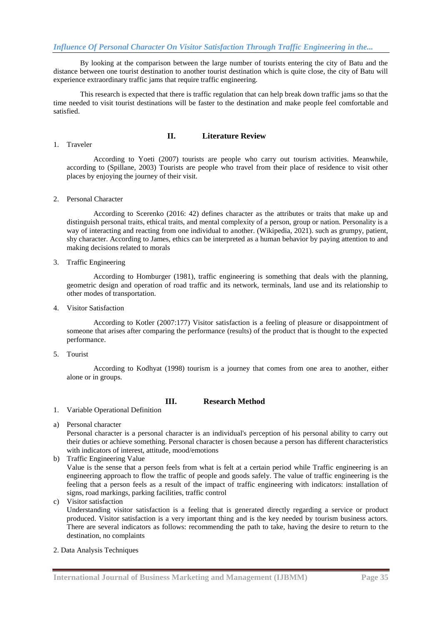By looking at the comparison between the large number of tourists entering the city of Batu and the distance between one tourist destination to another tourist destination which is quite close, the city of Batu will experience extraordinary traffic jams that require traffic engineering.

This research is expected that there is traffic regulation that can help break down traffic jams so that the time needed to visit tourist destinations will be faster to the destination and make people feel comfortable and satisfied.

#### **II. Literature Review**

1. Traveler

According to Yoeti (2007) tourists are people who carry out tourism activities. Meanwhile, according to (Spillane, 2003) Tourists are people who travel from their place of residence to visit other places by enjoying the journey of their visit.

2. Personal Character

According to Scerenko (2016: 42) defines character as the attributes or traits that make up and distinguish personal traits, ethical traits, and mental complexity of a person, group or nation. Personality is a way of interacting and reacting from one individual to another. (Wikipedia, 2021). such as grumpy, patient, shy character. According to James, ethics can be interpreted as a human behavior by paying attention to and making decisions related to morals

3. Traffic Engineering

According to Homburger (1981), traffic engineering is something that deals with the planning, geometric design and operation of road traffic and its network, terminals, land use and its relationship to other modes of transportation.

4. Visitor Satisfaction

According to Kotler (2007:177) Visitor satisfaction is a feeling of pleasure or disappointment of someone that arises after comparing the performance (results) of the product that is thought to the expected performance.

5. Tourist

According to Kodhyat (1998) tourism is a journey that comes from one area to another, either alone or in groups.

### **III. Research Method**

- 1. Variable Operational Definition
- a) Personal character

Personal character is a personal character is an individual's perception of his personal ability to carry out their duties or achieve something. Personal character is chosen because a person has different characteristics with indicators of interest, attitude, mood/emotions

- b) Traffic Engineering Value Value is the sense that a person feels from what is felt at a certain period while Traffic engineering is an engineering approach to flow the traffic of people and goods safely. The value of traffic engineering is the feeling that a person feels as a result of the impact of traffic engineering with indicators: installation of signs, road markings, parking facilities, traffic control
- c) Visitor satisfaction

Understanding visitor satisfaction is a feeling that is generated directly regarding a service or product produced. Visitor satisfaction is a very important thing and is the key needed by tourism business actors. There are several indicators as follows: recommending the path to take, having the desire to return to the destination, no complaints

2. Data Analysis Techniques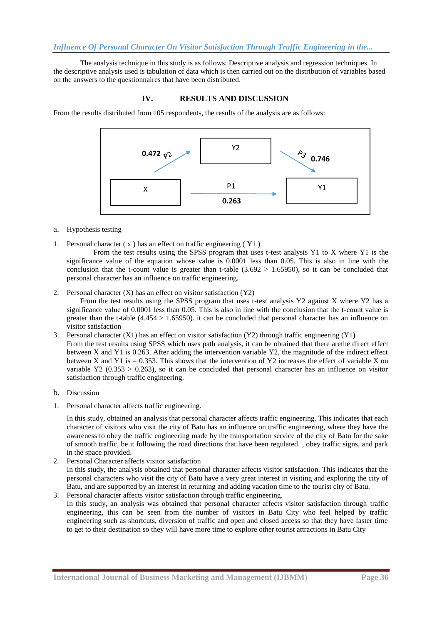### *Influence Of Personal Character On Visitor Satisfaction Through Traffic Engineering in the...*

The analysis technique in this study is as follows: Descriptive analysis and regression techniques. In the descriptive analysis used is tabulation of data which is then carried out on the distribution of variables based on the answers to the questionnaires that have been distributed.

## **IV. RESULTS AND DISCUSSION**

From the results distributed from 105 respondents, the results of the analysis are as follows:



- a. Hypothesis testing
- 1. Personal character ( x ) has an effect on traffic engineering ( Y1 )

From the test results using the SPSS program that uses t-test analysis Y1 to X where Y1 is the significance value of the equation whose value is 0.0001 less than 0.05. This is also in line with the conclusion that the t-count value is greater than t-table  $(3.692 > 1.65950)$ , so it can be concluded that personal character has an influence on traffic engineering.

2. Personal character  $(X)$  has an effect on visitor satisfaction  $(Y2)$ 

From the test results using the SPSS program that uses t-test analysis Y2 against X where Y2 has a significance value of 0.0001 less than 0.05. This is also in line with the conclusion that the t-count value is greater than the t-table  $(4.454 > 1.65950)$ . it can be concluded that personal character has an influence on visitor satisfaction

- 3. Personal character (X1) has an effect on visitor satisfaction (Y2) through traffic engineering (Y1) From the test results using SPSS which uses path analysis, it can be obtained that there arethe direct effect between X and Y1 is 0.263. After adding the intervention variable Y2, the magnitude of the indirect effect between X and Y1 is  $= 0.353$ . This shows that the intervention of Y2 increases the effect of variable X on variable Y2 (0.353  $> 0.263$ ), so it can be concluded that personal character has an influence on visitor satisfaction through traffic engineering.
- b. Discussion
- 1. Personal character affects traffic engineering.

In this study, obtained an analysis that personal character affects traffic engineering. This indicates that each character of visitors who visit the city of Batu has an influence on traffic engineering, where they have the awareness to obey the traffic engineering made by the transportation service of the city of Batu for the sake of smooth traffic, be it following the road directions that have been regulated. , obey traffic signs, and park in the space provided.

- 2. Personal Character affects visitor satisfaction In this study, the analysis obtained that personal character affects visitor satisfaction. This indicates that the personal characters who visit the city of Batu have a very great interest in visiting and exploring the city of Batu, and are supported by an interest in returning and adding vacation time to the tourist city of Batu.
- 3. Personal character affects visitor satisfaction through traffic engineering. In this study, an analysis was obtained that personal character affects visitor satisfaction through traffic engineering, this can be seen from the number of visitors in Batu City who feel helped by traffic engineering such as shortcuts, diversion of traffic and open and closed access so that they have faster time to get to their destination so they will have more time to explore other tourist attractions in Batu City